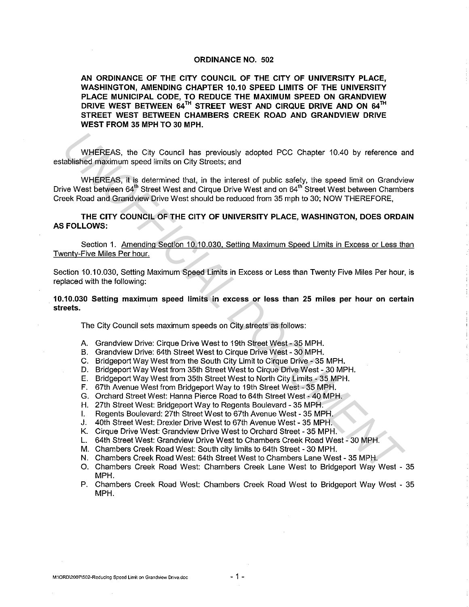## ORDINANCE NO. 502

AN ORDINANCE OF THE CITY COUNCIL OF THE CITY OF UNIVERSITY PLACE, WASHINGTON, AMENDING CHAPTER 10.10 SPEED LIMITS OF THE UNIVERSITY PLACE MUNICIPAL CODE, TO REDUCE THE MAXIMUM SPEED ON GRANDVIEW DRIVE WEST BETWEEN 64<sup>TH</sup> STREET WEST AND CIRQUE DRIVE AND ON 64<sup>TH</sup> STREET WEST BETWEEN CHAMBERS CREEK ROAD AND GRANDVIEW DRIVE WEST FROM 35 MPH TO 30 MPH.

WHEREAS, the City Council has previously adopted PCC Chapter 10.40 by reference and established maximum speed limits on City Streets; and

WHEREAS, it is determined that, in the interest of public safety, the speed limit on Grandview Drive West between 64<sup>th</sup> Street West and Cirque Drive West and on 64<sup>th</sup> Street West between Chambers Creek Road and Grandview Drive West should be reduced from 35 mph to 30; NOW THEREFORE, WHEREAS, the City Council has previously adopted PCC Chapter 10.40 by reference a<br>abilished maximum speed limits on City Stroats, and<br>WHEREAS, it is determined that, in the interest of public sefety, the speed limit on Gra

THE CITY COUNCIL OF THE CITY OF UNIVERSITY PLACE, WASHINGTON, DOES ORDAIN AS FOLLOWS:

Section 1. Amending Section 10.10.030, Setting Maximum Speed Limits in Excess or Less than Twenty-Five Miles Per hour.

Section 10.10.030, Setting Maximum Speed Limits in Excess or Less than Twenty Five Miles Per hour, is replaced with the following:

10.10.030 Setting maximum speed limits in excess or less than 25 miles per hour on certain streets.

The City Council sets maximum speeds on City streets as follows:

- A. Grandview Drive: Cirque Drive West to 19th Street West 35 MPH.
- B. Grandview Drive: 64th Street West to Cirque Drive West 30 MPH.
- C. Bridgeport Way West from the South City Limit to Cirque Drive 35 MPH.
- D. Bridgeport Way West from 35th Street West to Cirque Drive West 30 MPH.
- E. Bridgeport Way West from 35th Street West to North City Limits 35 MPH.
- F. 67th Avenue West from Bridgeport Way to 19th Street West- 35 MPH.
- G. Orchard Street West: Hanna Pierce Road to 64th Street West 40 MPH.
- H. 27th Street West: Bridgeport Way to Regents Boulevard 35 MPH.
- I. Regents Boulevard: 27th Street West to 67th Avenue West 35 MPH.
- J. 40th Street West: Drexler Drive West to 67th Avenue West 35 MPH.
- K. Cirque Drive West: Grandview Drive West to Orchard Street 35 MPH.
- L. 64th Street West: Grandview Drive West to Chambers Creek Road West 30 MPH.
- M. Chambers Creek Road West: South city limits to 64th Street 30 MPH.
- N. Chambers Creek Road West: 64th Street West to Chambers Lane West 35 MPH.
- 0. Chambers Creek Road West: Chambers Creek Lane West to Bridgeport Way West 35 MPH.
- P. Chambers Creek Road West: Chambers Creek Road West to Bridgeport Way West 35 MPH.